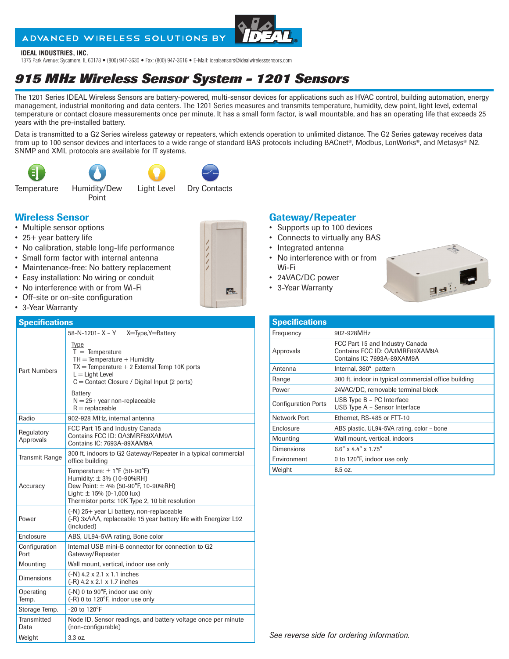### ADVANCED WIRELESS SOLUTIONS BY

#### **IDEAL INDUSTRIES, INC.**

1375 Park Avenue; Sycamore, IL 60178 • (800) 947-3630 • Fax: (800) 947-3616 • E-Mail: idealsensors@idealwirelesssensors.com

# *915 MHz Wireless Sensor System - 1201 Sensors*

The 1201 Series IDEAL Wireless Sensors are battery-powered, multi-sensor devices for applications such as HVAC control, building automation, energy management, industrial monitoring and data centers. The 1201 Series measures and transmits temperature, humidity, dew point, light level, external temperature or contact closure measurements once per minute. It has a small form factor, is wall mountable, and has an operating life that exceeds 25 years with the pre-installed battery.

Data is transmitted to a G2 Series wireless gateway or repeaters, which extends operation to unlimited distance. The G2 Series gateway receives data from up to 100 sensor devices and interfaces to a wide range of standard BAS protocols including BACnet®, Modbus, LonWorks®, and Metasys® N2. SNMP and XML protocols are available for IT systems.









Temperature Humidity/Dew

Point



Light Level Dry Contacts

### Wireless Sensor

- Multiple sensor options
- 25+ year battery life
- No calibration, stable long-life performance
- Small form factor with internal antenna
- Maintenance-free: No battery replacement
- Easy installation: No wiring or conduit
- No interference with or from Wi-Fi
- Off-site or on-site configuration
- 3-Year Warranty

#### **Specifications**

|                         | 58-N-1201- $X - Y$ $X = Type, Y = B$ attery                                                                                                                                                       |  |  |  |
|-------------------------|---------------------------------------------------------------------------------------------------------------------------------------------------------------------------------------------------|--|--|--|
| Part Numbers            | <b>Type</b><br>$T =$ Temperature<br>$TH = Temperature + Humidity$<br>$TX = Temperature + 2$ External Temp 10K ports<br>$L =$ Light Level<br>$C =$ Contact Closure / Digital Input (2 ports)       |  |  |  |
|                         | Battery<br>$N = 25 +$ year non-replaceable<br>$R =$ replaceable                                                                                                                                   |  |  |  |
| Radio                   | 902-928 MHz. internal antenna                                                                                                                                                                     |  |  |  |
| Regulatory<br>Approvals | FCC Part 15 and Industry Canada<br>Contains FCC ID: OA3MRF89XAM9A<br>Contains IC: 7693A-89XAM9A                                                                                                   |  |  |  |
| <b>Transmit Range</b>   | 300 ft. indoors to G2 Gateway/Repeater in a typical commercial<br>office building                                                                                                                 |  |  |  |
| Accuracy                | Temperature: $\pm$ 1°F (50-90°F)<br>Humidity: $\pm$ 3% (10-90%RH)<br>Dew Point: $\pm$ 4% (50-90°F, 10-90%RH)<br>Light: $\pm$ 15% (0-1,000 lux)<br>Thermistor ports: 10K Type 2, 10 bit resolution |  |  |  |
| Power                   | (-N) 25+ year Li battery, non-replaceable<br>(-R) 3xAAA, replaceable 15 year battery life with Energizer L92<br>(included)                                                                        |  |  |  |
| Enclosure               | ABS, UL94-5VA rating, Bone color                                                                                                                                                                  |  |  |  |
| Configuration<br>Port   | Internal USB mini-B connector for connection to G2<br>Gateway/Repeater                                                                                                                            |  |  |  |
| Mounting                | Wall mount, vertical, indoor use only                                                                                                                                                             |  |  |  |
| <b>Dimensions</b>       | $(-N)$ 4.2 x 2.1 x 1.1 inches<br>$(-R)$ 4.2 x 2.1 x 1.7 inches                                                                                                                                    |  |  |  |
| Operating<br>Temp.      | (-N) 0 to 90°F, indoor use only<br>(-R) 0 to 120°F, indoor use only                                                                                                                               |  |  |  |
| Storage Temp.           | $-20$ to $120^{\circ}F$                                                                                                                                                                           |  |  |  |
| Transmitted<br>Data     | Node ID, Sensor readings, and battery voltage once per minute<br>(non-configurable)                                                                                                               |  |  |  |
| Weight                  | 3.3 oz.                                                                                                                                                                                           |  |  |  |

### Gateway/Repeater

- Supports up to 100 devices
- Connects to virtually any BAS
- Integrated antenna
- No interference with or from Wi-Fi
- 24VAC/DC power
- 3-Year Warranty



| <b>Specifications</b>      |                                                                                                 |  |  |  |  |
|----------------------------|-------------------------------------------------------------------------------------------------|--|--|--|--|
| Frequency                  | 902-928MHz                                                                                      |  |  |  |  |
| Approvals                  | FCC Part 15 and Industry Canada<br>Contains FCC ID: OA3MRF89XAM9A<br>Contains IC: 7693A-89XAM9A |  |  |  |  |
| Antenna                    | Internal, 360° pattern                                                                          |  |  |  |  |
| Range                      | 300 ft. indoor in typical commercial office building                                            |  |  |  |  |
| Power                      | 24VAC/DC, removable terminal block                                                              |  |  |  |  |
| <b>Configuration Ports</b> | USB Type B - PC Interface<br>USB Type A - Sensor Interface                                      |  |  |  |  |
| Network Port               | Ethernet, RS-485 or FTT-10                                                                      |  |  |  |  |
| Enclosure                  | ABS plastic, UL94-5VA rating, color - bone                                                      |  |  |  |  |
| Mounting                   | Wall mount, vertical, indoors                                                                   |  |  |  |  |
| <b>Dimensions</b>          | $6.6'' \times 4.4'' \times 1.75''$                                                              |  |  |  |  |
| Environment                | 0 to 120°F, indoor use only                                                                     |  |  |  |  |
| Weight                     | 8.5 oz.                                                                                         |  |  |  |  |

*See reverse side for ordering information.* 

 $\sqrt{2\pi}$